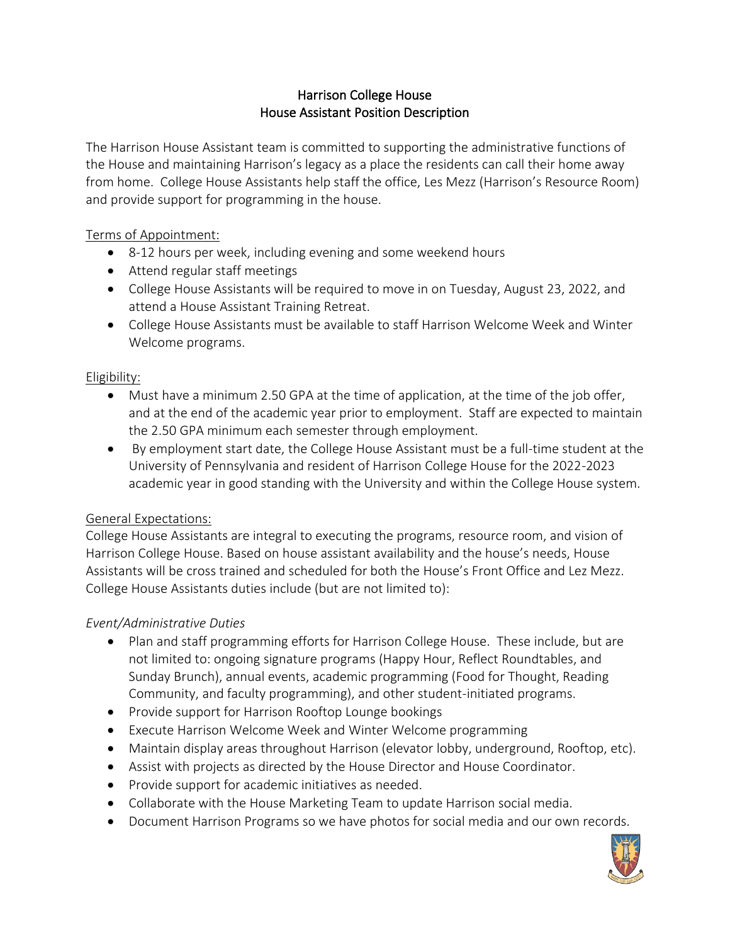# Harrison College House House Assistant Position Description

The Harrison House Assistant team is committed to supporting the administrative functions of the House and maintaining Harrison's legacy as a place the residents can call their home away from home. College House Assistants help staff the office, Les Mezz (Harrison's Resource Room) and provide support for programming in the house.

# Terms of Appointment:

- 8-12 hours per week, including evening and some weekend hours
- Attend regular staff meetings
- College House Assistants will be required to move in on Tuesday, August 23, 2022, and attend a House Assistant Training Retreat.
- College House Assistants must be available to staff Harrison Welcome Week and Winter Welcome programs.

### Eligibility:

- Must have a minimum 2.50 GPA at the time of application, at the time of the job offer, and at the end of the academic year prior to employment. Staff are expected to maintain the 2.50 GPA minimum each semester through employment.
- By employment start date, the College House Assistant must be a full-time student at the University of Pennsylvania and resident of Harrison College House for the 2022-2023 academic year in good standing with the University and within the College House system.

### General Expectations:

College House Assistants are integral to executing the programs, resource room, and vision of Harrison College House. Based on house assistant availability and the house's needs, House Assistants will be cross trained and scheduled for both the House's Front Office and Lez Mezz. College House Assistants duties include (but are not limited to):

### *Event/Administrative Duties*

- Plan and staff programming efforts for Harrison College House. These include, but are not limited to: ongoing signature programs (Happy Hour, Reflect Roundtables, and Sunday Brunch), annual events, academic programming (Food for Thought, Reading Community, and faculty programming), and other student-initiated programs.
- Provide support for Harrison Rooftop Lounge bookings
- Execute Harrison Welcome Week and Winter Welcome programming
- Maintain display areas throughout Harrison (elevator lobby, underground, Rooftop, etc).
- Assist with projects as directed by the House Director and House Coordinator.
- Provide support for academic initiatives as needed.
- Collaborate with the House Marketing Team to update Harrison social media.
- Document Harrison Programs so we have photos for social media and our own records.